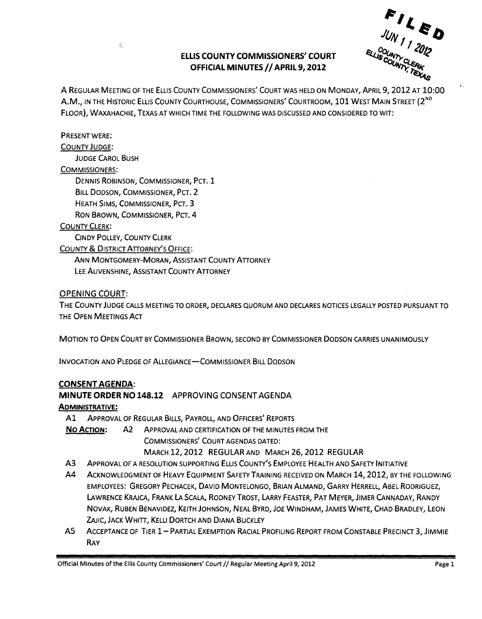# ELLIS COUNTY COMMISSIONERS' COURT OFFICIAL MINUTES // APRIL 9, 2012



A REGULAR MEETING OF THE ELLIS COUNTY COMMISSIONERS' COURT WAS HELD ON MONDAY, APRIL 9,2012 AT 10:00 A.M., IN THE HISTORIC ELLIS COUNTY COURTHOUSE, COMMISSIONERS' COURTROOM, 101 WEST MAIN STREET (2<sup>ND</sup> FLOOR), WAXAHACHIE, TEXAS AT WHICH TIME THE FOLLOWING WAS DISCUSSED AND CONSIDERED TO WIT:

#### PRESENT WERE:

#### COUNTY JUDGE:

JUDGE CAROL BUSH

 $\frac{\partial \phi}{\partial x}$ 

#### COMMISSIONERS:

DENNIS ROBINSON, COMMISSIONER, PCT. 1 BILL DODSON, COMMISSIONER, PCT. 2 HEATH SIMS, COMMISSIONER, PCT. 3 RON BROWN, COMMISSIONER, PCT. 4

#### COUNTY CLERK:

CINDY POLLEY, COUNTY CLERK

COUNTY & DISTRICT ATTORNEy'S OFFICE:

ANN MONTGOMERy-MORAN, ASSISTANT COUNTY ATTORNEY LEE AUVENSHINE, ASSISTANT COUNTY ATTORNEY

#### OPENING COURT:

THE COUNTY JUDGE CALLS MEETING TO ORDER, DECLARES QUORUM AND DECLARES NOTICES LEGALLY POSTED PURSUANT TO THE OPEN MEETINGS ACT

MOTION TO OPEN COURT BY COMMISSIONER BROWN, SECOND BY COMMISSIONER DODSON CARRIES UNANIMOUSLY

INVOCATION AND PLEDGE OF ALLEGIANCE-COMMISSIONER BILL DODSON

# CONSENT AGENDA:

# MINUTE ORDER NO 148.12 APPROVING CONSENT AGENDA

# ADMINISTRATIVE:

Al ApPROVAL OF REGULAR BILLS, PAYROLL, AND OFFICERS' REPORTS

No ACTION: A2 ApPROVAL AND CERTIFICATION OFTHE MINUTES FROM THE COMMISSIONERS' COURT AGENDAS DATED: MARCH 12, 2012 REGULAR AND MARCH 26, 2012 REGULAR

- A3 ApPROVAL OF A RESOLUTION SUPPORTING ELLIS COUNTY'S EMPLOYEE HEALTH AND SAFETY INITIATIVE
- A4 ACKNOWLEDGMENT OF HEAVY EQUIPMENT SAFETY TRAINING RECEIVED ON MARCH 14, 2012, BY THE FOLLOWING EMPLOYEES: GREGORY PECHACEK, DAVID MONTELONGO, BRIAN ALMAND, GARRY HERRELL, ABEL RODRIGUEZ, LAWRENCE KRAJCA, FRANK LA SCALA, RODNEY TROST, LARRY FEASTER, PAT MEYER, JIMER CANNADAY, RANDY NOVAK, RUBEN BENAVIDEZ, KEITH JOHNSON, NEAL BYRD, JOE WINDHAM, JAMES WHITE, CHAD BRADLEY, LEON ZAJIC, JACK WHITT, KELLI DORTCH AND DIANA BUCKLEY
- AS ACCEPTANCE OF TIER 1 PARTIAL EXEMPTION RACIAL PROFILING REPORT FROM CONSTABLE PRECINCT 3, JIMMIE RAY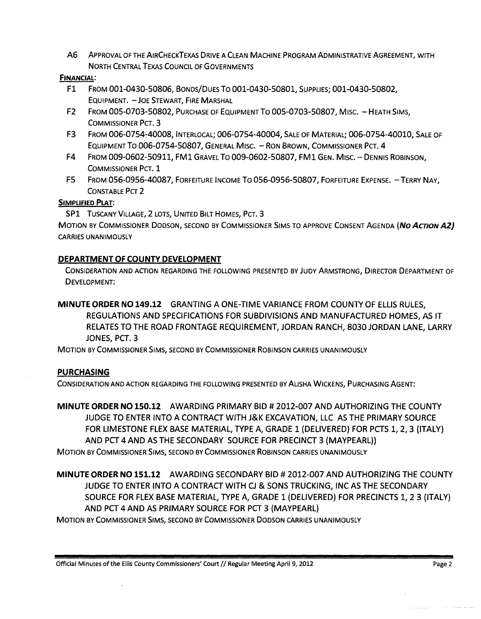A6 ApPROVAL OF THE AIRCHECKTEXAS DRIVE A CLEAN MACHINE PROGRAM ADMINISTRATIVE AGREEMENT, WITH NORTH CENTRAL TEXAS COUNCIL OF GOVERNMENTS

#### FINANCIAL:

- F1 FROM 001-0430-50806, BONDS/DuES To 001-0430-50801, SUPPLIES; 001-0430-50802, EQUIPMENT. - JOE STEWART, FIRE MARSHAL
- F2 FROM 005-0703-50802, PURCHASE OF EQUIPMENT TO 005-0703-50807, MISC. HEATH SIMS, COMMISSIONER PCT. 3
- F3 FROM 006-0754-40008, INTERLOCAL; 006-0754-40004, SALE OF MATERIAL; 006-0754-40010, SALE OF EQUIPMENT TO 006-0754-50807, GENERAL MISC. - RON BROWN, COMMISSIONER PCT. 4
- F4 FROM 009-0602-50911, FMl GRAVEL To 009-0602-50807, FMl GEN. MIsc. DENNIS ROBINSON, COMMISSIONER PCT. 1
- F5 FROM 056-0956-40087, FORFEITURE INCOME TO 056-0956-50807, FORFEITURE EXPENSE. TERRY NAY, CONSTABLE PCT 2

# SIMPLIFIED PLAT:

SP1 TUSCANY VILLAGE, 2 LOTS, UNITED BILT HOMES, PCT. 3

MOTION BY COMMISSIONER DODSON, SECOND BY COMMISSIONER SIMS TO APPROVE CONSENT AGENDA *(NO* ACTION A2) CARRIES UNANIMOUSLY

# DEPARTMENT OF COUNTY DEVELOPMENT

CONSIDERATION AND ACTION REGARDING THE FOLLOWING PRESENTED BY JUDY ARMSTRONG, DIRECTOR DEPARTMENT OF DEVELOPMENT:

MINUTE ORDER NO 149.12 GRANTING A ONE-TIME VARIANCE FROM COUNTY OF ELLIS RULES, REGULATIONS AND SPECIFICATIONS FOR SUBDIVISIONS AND MANUFACTURED HOMES, AS IT RELATES TO THE ROAD FRONTAGE REQUIREMENT, JORDAN RANCH, 8030 JORDAN LANE, LARRY JONES, PCT. 3

MOTION BY COMMISSIONER SIMS, SECOND BY COMMISSIONER ROBINSON CARRIES UNANIMOUSLY

# **PURCHASING**

CONSIDERATION AND ACTION REGARDING THE FOLLOWING PRESENTED BY ALiSHA WICKENS, PURCHASING AGENT:

MINUTE ORDER NO 150.12 AWARDING PRIMARY BID # 2012-007 AND AUTHORIZING THE COUNTY JUDGE TO ENTER INTO A CONTRACT WITH J&K EXCAVATION, LLC AS THE PRIMARY SOURCE FOR LIMESTONE FLEX BASE MATERIAL, TYPE A, GRADE 1 (DELIVERED) FOR PCTS 1,2,3 (ITALY) AND PCT 4AND AS THE SECONDARY SOURCE FOR PRECINCT 3 (MAYPEARL)) MOTION BY COMMISSIONER SIMS, SECOND BY COMMISSIONER ROBINSON CARRIES UNANIMOUSLY

MINUTE ORDER NO 151.12 AWARDING SECONDARY BID # 2012-007 AND AUTHORIZING THE COUNTY JUDGE TO ENTER INTO A CONTRACT WITH CJ & SONS TRUCKING, INC AS THE SECONDARY SOURCE FOR FLEX BASE MATERIAL, TYPE A, GRADE 1 (DELIVERED) FOR PRECINCTS 1, 23 (ITALY) AND PCT 4AND AS PRIMARY SOURCE FOR PCT 3 (MAYPEARL)

MOTION BY COMMISSIONER SIMS, SECOND BY COMMISSIONER DODSON CARRIES UNANIMOUSLY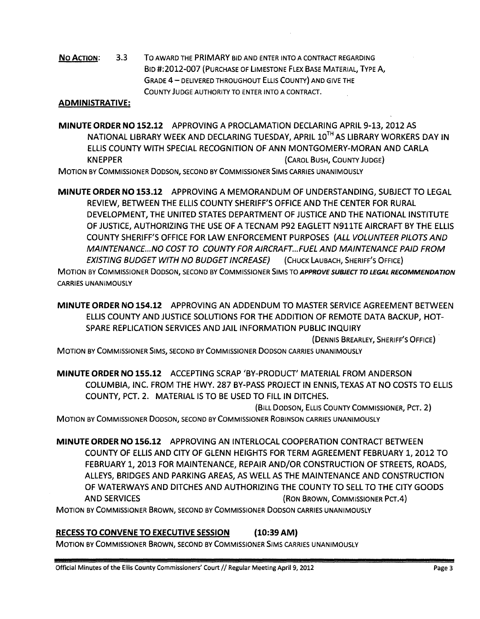No Action: 3.3 To AWARD THE PRIMARY BID AND ENTER INTO A CONTRAer REGARDING BID #:2012-007 (PURCHASE OF liMESTONE FLEX BASE MATERIAL, TYPE A, GRADE 4 - DELIVERED THROUGHOUT ELLIS COUNTY) AND GIVE THE COUNTY JUDGE AUTHORITY TO ENTER INTO A CONTRACT.

# ADMINISTRATIVE:

MINUTE ORDER NO 152.12 APPROVING A PROCLAMATION DECLARING APRIL 9-13,2012 AS NATIONAL LIBRARY WEEK AND DECLARING TUESDAY, APRIL 10TH AS LIBRARY WORKERS DAY IN ELLIS COUNTY WITH SPECIAL RECOGNITION OF ANN MONTGOMERY-MORAN AND CARLA KNEPPER (CAROL BUSH, COUNTY JUDGE) MOTION BY COMMISSIONER DODSON, SECOND BY COMMISSIONER SIMS CARRIES UNANIMOUSLY

MINUTE ORDER NO 153.12 APPROVING A MEMORANDUM OF UNDERSTANDING, SUBJECT TO LEGAL REVIEW, BETWEEN THE ELLIS COUNTY SHERIFF'S OFFICE AND THE CENTER FOR RURAL DEVELOPMENT, THE UNITED STATES DEPARTMENT OF JUSTICE AND THE NATIONAL INSTITUTE OF JUSTICE, AUTHORIZING THE USE OF A TECNAM P92 EAGLETT N911TE AIRCRAFT BY THE ELLIS COUNTY SHERIFF'S OFFICE FOR LAW ENFORCEMENT PURPOSES (ALL VOLUNTEER PILOTS AND MAINTENANCE. .. NO COST TO COUNTY FOR AIRCRAFT ... FUEL AND MAINTENANCE PAID FROM EXISTING BUDGET WITH NO BUDGET INCREASE) (CHUCK LAUBACH, SHERIFF'S OFFICE)

MOTION BY COMMISSIONER DODSON, SECOND BY COMMISSIONER SIMS TO *APPROVE SUBJECT* TO *LEGAL RECOMMENDATION*  CARRIES UNANIMOUSLY

MINUTE ORDER NO 154.12 APPROVING AN ADDENDUM TO MASTER SERVICE AGREEMENT BETWEEN ELLIS COUNTY AND JUSTICE SOLUTIONS FOR THE ADDITION OF REMOTE DATA BACKUP, HOT-SPARE REPLICATION SERVICES AND JAIL INFORMATION PUBLIC INQUIRY

(DENNIS BREARLEY, SHERIFF'S OFFICE) .

MOTION BY COMMISSIONER SIMS, SECOND BY COMMISSIONER DODSON CARRIES UNANIMOUSLY

MINUTE ORDER NO 155.12 ACCEPTING SCRAP 'BY-PRODUCT' MATERIAL FROM ANDERSON COLUMBIA, INC. FROM THE HWY. 287 BY-PASS PROJECT IN ENNIS, TEXAS AT NO COSTS TO ELLIS COUNTY, PCT. 2. MATERIAL IS TO BE USED TO FILL IN DITCHES.

(BILL DODSON, ELLIS COUNTY COMMISSIONER, Per. 2)

MOTION BY COMMISSIONER DODSON, SECOND BY COMMISSIONER ROBINSON CARRIES UNANIMOUSLY

MINUTE ORDER NO 156.12 APPROVING AN INTERLOCAL COOPERATION CONTRACT BETWEEN COUNTY OF ELLIS AND CITY OF GLENN HEIGHTS FOR TERM AGREEMENT FEBRUARY 1, 2012 TO FEBRUARY 1,2013 FOR MAINTENANCE, REPAIR AND/OR CONSTRUCTION OF STREETS, ROADS, ALLEYS, BRIDGES AND PARKING AREAS, AS WELL AS THE MAINTENANCE AND CONSTRUCTION OF WATERWAYS AND DITCHES AND AUTHORIZING THE COUNTY TO SELL TO THE CITY GOODS AND SERVICES (RON BROWN, COMMISSIONER Per.4)

MOTION BY COMMISSIONER BROWN, SECOND BY COMMISSIONER DODSON CARRIES UNANIMOUSLY

# RECESS TO CONVENE TO EXECUTIVE SESSION (10:39 AM)

MOTION BY COMMISSIONER BROWN, SECOND BY COMMISSIONER SIMS CARRIES UNANIMOUSLY